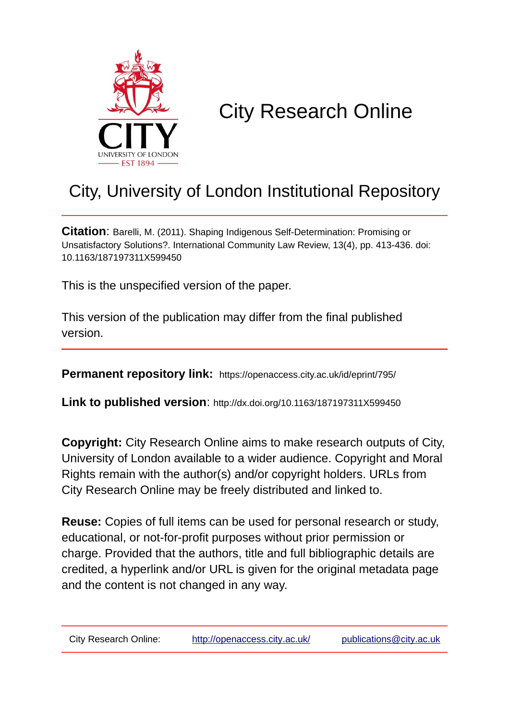

# City Research Online

## City, University of London Institutional Repository

**Citation**: Barelli, M. (2011). Shaping Indigenous Self-Determination: Promising or Unsatisfactory Solutions?. International Community Law Review, 13(4), pp. 413-436. doi: 10.1163/187197311X599450

This is the unspecified version of the paper.

This version of the publication may differ from the final published version.

**Permanent repository link:** https://openaccess.city.ac.uk/id/eprint/795/

**Link to published version**: http://dx.doi.org/10.1163/187197311X599450

**Copyright:** City Research Online aims to make research outputs of City, University of London available to a wider audience. Copyright and Moral Rights remain with the author(s) and/or copyright holders. URLs from City Research Online may be freely distributed and linked to.

**Reuse:** Copies of full items can be used for personal research or study, educational, or not-for-profit purposes without prior permission or charge. Provided that the authors, title and full bibliographic details are credited, a hyperlink and/or URL is given for the original metadata page and the content is not changed in any way.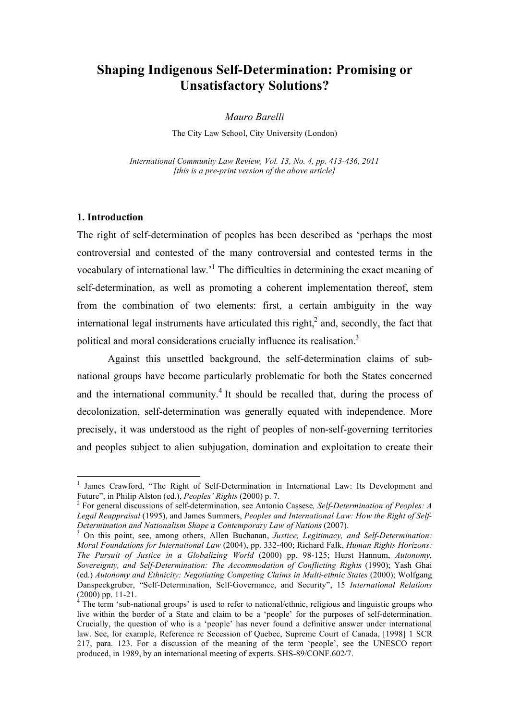## **Shaping Indigenous Self-Determination: Promising or Unsatisfactory Solutions?**

*Mauro Barelli* 

The City Law School, City University (London)

*International Community Law Review, Vol. 13, No. 4, pp. 413-436, 2011 [this is a pre-print version of the above article]*

#### **1. Introduction**

The right of self-determination of peoples has been described as 'perhaps the most controversial and contested of the many controversial and contested terms in the vocabulary of international law.<sup>1</sup> The difficulties in determining the exact meaning of self-determination, as well as promoting a coherent implementation thereof, stem from the combination of two elements: first, a certain ambiguity in the way international legal instruments have articulated this right, $<sup>2</sup>$  and, secondly, the fact that</sup> political and moral considerations crucially influence its realisation.<sup>3</sup>

Against this unsettled background, the self-determination claims of subnational groups have become particularly problematic for both the States concerned and the international community.<sup>4</sup> It should be recalled that, during the process of decolonization, self-determination was generally equated with independence. More precisely, it was understood as the right of peoples of non-self-governing territories and peoples subject to alien subjugation, domination and exploitation to create their

 $\frac{1}{1}$  James Crawford, "The Right of Self-Determination in International Law: Its Development and Future", in Philip Alston (ed.), *Peoples' Rights* (2000) p. 7.

For general discussions of self-determination, see Antonio Cassese*, Self-Determination of Peoples: A Legal Reappraisal* (1995), and James Summers, *Peoples and International Law: How the Right of Self-Determination and Nationalism Shape a Contemporary Law of Nations* (2007).

On this point, see, among others, Allen Buchanan, *Justice, Legitimacy, and Self-Determination: Moral Foundations for International Law* (2004), pp. 332-400; Richard Falk, *Human Rights Horizons: The Pursuit of Justice in a Globalizing World* (2000) pp. 98-125; Hurst Hannum, *Autonomy, Sovereignty, and Self-Determination: The Accommodation of Conflicting Rights* (1990); Yash Ghai (ed.) *Autonomy and Ethnicity: Negotiating Competing Claims in Multi-ethnic States* (2000); Wolfgang Danspeckgruber, "Self-Determination, Self-Governance, and Security", 15 *International Relations*   $(2000)$  pp. 11-21.

The term 'sub-national groups' is used to refer to national/ethnic, religious and linguistic groups who live within the border of a State and claim to be a 'people' for the purposes of self-determination. Crucially, the question of who is a 'people' has never found a definitive answer under international law. See, for example, Reference re Secession of Quebec, Supreme Court of Canada, [1998] 1 SCR 217, para. 123. For a discussion of the meaning of the term 'people', see the UNESCO report produced, in 1989, by an international meeting of experts. SHS-89/CONF.602/7.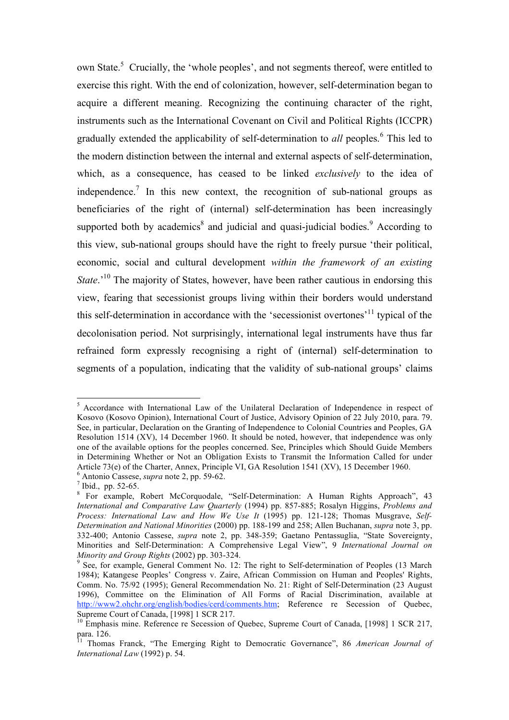own State.<sup>5</sup> Crucially, the 'whole peoples', and not segments thereof, were entitled to exercise this right. With the end of colonization, however, self-determination began to acquire a different meaning. Recognizing the continuing character of the right, instruments such as the International Covenant on Civil and Political Rights (ICCPR) gradually extended the applicability of self-determination to *all* peoples.<sup>6</sup> This led to the modern distinction between the internal and external aspects of self-determination, which, as a consequence, has ceased to be linked *exclusively* to the idea of independence.<sup>7</sup> In this new context, the recognition of sub-national groups as beneficiaries of the right of (internal) self-determination has been increasingly supported both by academics $\delta$  and judicial and quasi-judicial bodies.<sup>9</sup> According to this view, sub-national groups should have the right to freely pursue 'their political, economic, social and cultural development *within the framework of an existing State*.<sup>'10</sup> The majority of States, however, have been rather cautious in endorsing this view, fearing that secessionist groups living within their borders would understand this self-determination in accordance with the 'secessionist overtones'11 typical of the decolonisation period. Not surprisingly, international legal instruments have thus far refrained form expressly recognising a right of (internal) self-determination to segments of a population, indicating that the validity of sub-national groups' claims

<sup>&</sup>lt;sup>5</sup> Accordance with International Law of the Unilateral Declaration of Independence in respect of Kosovo (Kosovo Opinion), International Court of Justice, Advisory Opinion of 22 July 2010, para. 79. See, in particular, Declaration on the Granting of Independence to Colonial Countries and Peoples, GA Resolution 1514 (XV), 14 December 1960. It should be noted, however, that independence was only one of the available options for the peoples concerned. See, Principles which Should Guide Members in Determining Whether or Not an Obligation Exists to Transmit the Information Called for under Article 73(e) of the Charter, Annex, Principle VI, GA Resolution 1541 (XV), 15 December 1960.

Antonio Cassese, *supra* note 2, pp. 59-62. <sup>7</sup>

 $^7$  Ibid., pp. 52-65.

For example, Robert McCorquodale, "Self-Determination: A Human Rights Approach", 43 *International and Comparative Law Quarterly* (1994) pp. 857-885; Rosalyn Higgins, *Problems and Process: International Law and How We Use It* (1995) pp. 121-128; Thomas Musgrave, *Self-Determination and National Minorities* (2000) pp. 188-199 and 258; Allen Buchanan, *supra* note 3, pp. 332-400; Antonio Cassese, *supra* note 2, pp. 348-359; Gaetano Pentassuglia, "State Sovereignty, Minorities and Self-Determination: A Comprehensive Legal View", 9 *International Journal on Minority and Group Rights* (2002) pp. 303-324.

<sup>&</sup>lt;sup>9</sup> See, for example, General Comment No. 12: The right to Self-determination of Peoples (13 March 1984); Katangese Peoples' Congress v. Zaire, African Commission on Human and Peoples' Rights, Comm. No. 75/92 (1995); General Recommendation No. 21: Right of Self-Determination (23 August 1996), Committee on the Elimination of All Forms of Racial Discrimination, available at http://www2.ohchr.org/english/bodies/cerd/comments.htm; Reference re Secession of Quebec, Supreme Court of Canada, [1998] 1 SCR 217.

<sup>&</sup>lt;sup>10</sup> Emphasis mine. Reference re Secession of Quebec, Supreme Court of Canada, [1998] 1 SCR 217, para. 126.

<sup>11</sup> Thomas Franck, "The Emerging Right to Democratic Governance", 86 *American Journal of International Law* (1992) p. 54.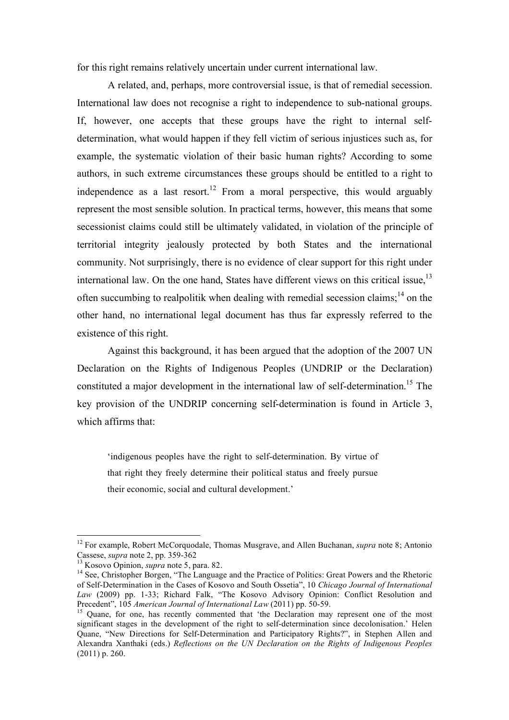for this right remains relatively uncertain under current international law.

A related, and, perhaps, more controversial issue, is that of remedial secession. International law does not recognise a right to independence to sub-national groups. If, however, one accepts that these groups have the right to internal selfdetermination, what would happen if they fell victim of serious injustices such as, for example, the systematic violation of their basic human rights? According to some authors, in such extreme circumstances these groups should be entitled to a right to independence as a last resort.<sup>12</sup> From a moral perspective, this would arguably represent the most sensible solution. In practical terms, however, this means that some secessionist claims could still be ultimately validated, in violation of the principle of territorial integrity jealously protected by both States and the international community. Not surprisingly, there is no evidence of clear support for this right under international law. On the one hand, States have different views on this critical issue,  $13$ often succumbing to realpolitik when dealing with remedial secession claims;  $14$  on the other hand, no international legal document has thus far expressly referred to the existence of this right.

Against this background, it has been argued that the adoption of the 2007 UN Declaration on the Rights of Indigenous Peoples (UNDRIP or the Declaration) constituted a major development in the international law of self-determination.<sup>15</sup> The key provision of the UNDRIP concerning self-determination is found in Article 3, which affirms that:

'indigenous peoples have the right to self-determination. By virtue of that right they freely determine their political status and freely pursue their economic, social and cultural development.'

<sup>&</sup>lt;sup>12</sup> For example, Robert McCorquodale, Thomas Musgrave, and Allen Buchanan, *supra* note 8; Antonio Cassese, *supra* note 2, pp. 359-362

<sup>&</sup>lt;sup>13</sup> Kosovo Opinion, *supra* note 5, para. 82.<br><sup>14</sup> See, Christopher Borgen, "The Language and the Practice of Politics: Great Powers and the Rhetoric of Self-Determination in the Cases of Kosovo and South Ossetia", 10 *Chicago Journal of International Law* (2009) pp. 1-33; Richard Falk, "The Kosovo Advisory Opinion: Conflict Resolution and Precedent", 105 *American Journal of International Law* (2011) pp. 50-59.

<sup>&</sup>lt;sup>15</sup> Ouane, for one, has recently commented that 'the Declaration may represent one of the most significant stages in the development of the right to self-determination since decolonisation.' Helen Quane, "New Directions for Self-Determination and Participatory Rights?", in Stephen Allen and Alexandra Xanthaki (eds.) *Reflections on the UN Declaration on the Rights of Indigenous Peoples*  (2011) p. 260.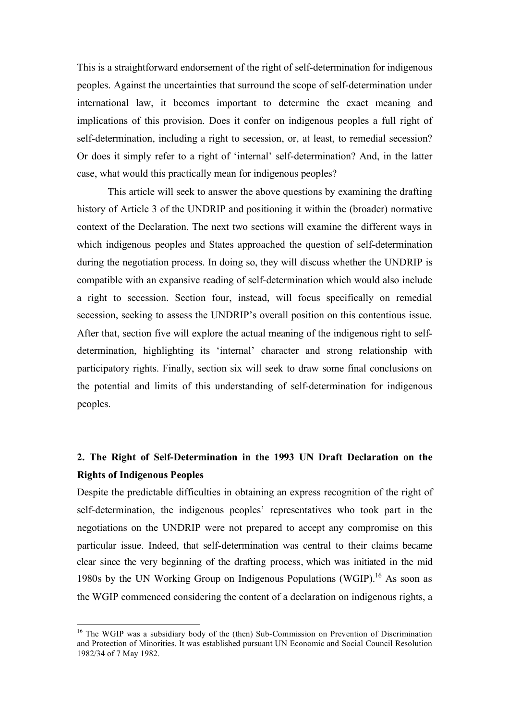This is a straightforward endorsement of the right of self-determination for indigenous peoples. Against the uncertainties that surround the scope of self-determination under international law, it becomes important to determine the exact meaning and implications of this provision. Does it confer on indigenous peoples a full right of self-determination, including a right to secession, or, at least, to remedial secession? Or does it simply refer to a right of 'internal' self-determination? And, in the latter case, what would this practically mean for indigenous peoples?

This article will seek to answer the above questions by examining the drafting history of Article 3 of the UNDRIP and positioning it within the (broader) normative context of the Declaration. The next two sections will examine the different ways in which indigenous peoples and States approached the question of self-determination during the negotiation process. In doing so, they will discuss whether the UNDRIP is compatible with an expansive reading of self-determination which would also include a right to secession. Section four, instead, will focus specifically on remedial secession, seeking to assess the UNDRIP's overall position on this contentious issue. After that, section five will explore the actual meaning of the indigenous right to selfdetermination, highlighting its 'internal' character and strong relationship with participatory rights. Finally, section six will seek to draw some final conclusions on the potential and limits of this understanding of self-determination for indigenous peoples.

## **2. The Right of Self-Determination in the 1993 UN Draft Declaration on the Rights of Indigenous Peoples**

Despite the predictable difficulties in obtaining an express recognition of the right of self-determination, the indigenous peoples' representatives who took part in the negotiations on the UNDRIP were not prepared to accept any compromise on this particular issue. Indeed, that self-determination was central to their claims became clear since the very beginning of the drafting process, which was initiated in the mid 1980s by the UN Working Group on Indigenous Populations (WGIP).<sup>16</sup> As soon as the WGIP commenced considering the content of a declaration on indigenous rights, a

<sup>&</sup>lt;sup>16</sup> The WGIP was a subsidiary body of the (then) Sub-Commission on Prevention of Discrimination and Protection of Minorities. It was established pursuant UN Economic and Social Council Resolution 1982/34 of 7 May 1982.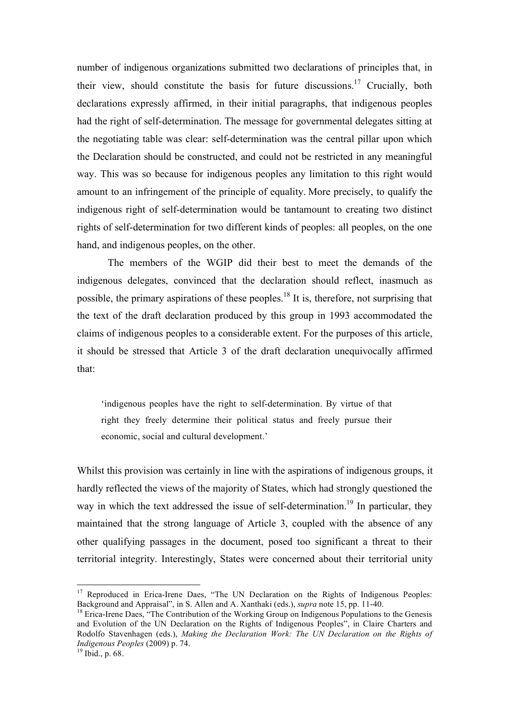number of indigenous organizations submitted two declarations of principles that, in their view, should constitute the basis for future discussions.<sup>17</sup> Crucially, both declarations expressly affirmed, in their initial paragraphs, that indigenous peoples had the right of self-determination. The message for governmental delegates sitting at the negotiating table was clear: self-determination was the central pillar upon which the Declaration should be constructed, and could not be restricted in any meaningful way. This was so because for indigenous peoples any limitation to this right would amount to an infringement of the principle of equality. More precisely, to qualify the indigenous right of self-determination would be tantamount to creating two distinct rights of self-determination for two different kinds of peoples: all peoples, on the one hand, and indigenous peoples, on the other.

The members of the WGIP did their best to meet the demands of the indigenous delegates, convinced that the declaration should reflect, inasmuch as possible, the primary aspirations of these peoples.<sup>18</sup> It is, therefore, not surprising that the text of the draft declaration produced by this group in 1993 accommodated the claims of indigenous peoples to a considerable extent. For the purposes of this article, it should be stressed that Article 3 of the draft declaration unequivocally affirmed that:

'indigenous peoples have the right to self-determination. By virtue of that right they freely determine their political status and freely pursue their economic, social and cultural development.'

Whilst this provision was certainly in line with the aspirations of indigenous groups, it hardly reflected the views of the majority of States, which had strongly questioned the way in which the text addressed the issue of self-determination.<sup>19</sup> In particular, they maintained that the strong language of Article 3, coupled with the absence of any other qualifying passages in the document, posed too significant a threat to their territorial integrity. Interestingly, States were concerned about their territorial unity

<sup>&</sup>lt;sup>17</sup> Reproduced in Erica-Irene Daes, "The UN Declaration on the Rights of Indigenous Peoples: Background and Appraisal", in S. Allen and A. Xanthaki (eds.), *supra* note 15, pp. 11-40.

<sup>&</sup>lt;sup>18</sup> Erica-Irene Daes, "The Contribution of the Working Group on Indigenous Populations to the Genesis and Evolution of the UN Declaration on the Rights of Indigenous Peoples", in Claire Charters and Rodolfo Stavenhagen (eds.), *Making the Declaration Work: The UN Declaration on the Rights of Indigenous Peoples* (2009) p. 74.<br><sup>19</sup> Ibid., p. 68.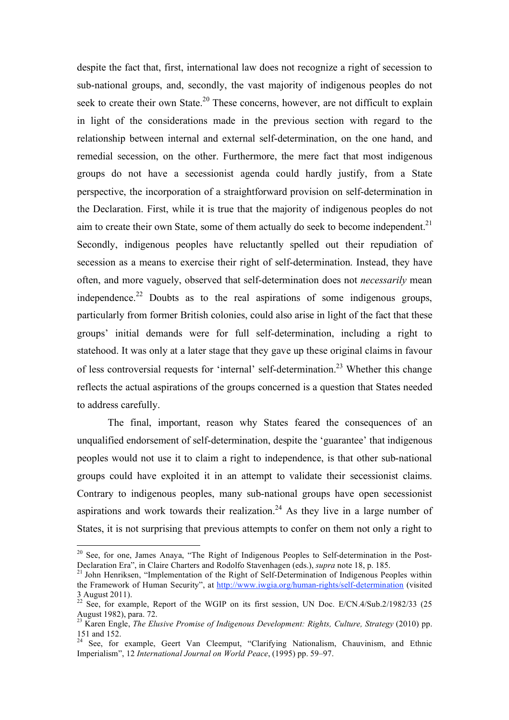despite the fact that, first, international law does not recognize a right of secession to sub-national groups, and, secondly, the vast majority of indigenous peoples do not seek to create their own State.<sup>20</sup> These concerns, however, are not difficult to explain in light of the considerations made in the previous section with regard to the relationship between internal and external self-determination, on the one hand, and remedial secession, on the other. Furthermore, the mere fact that most indigenous groups do not have a secessionist agenda could hardly justify, from a State perspective, the incorporation of a straightforward provision on self-determination in the Declaration. First, while it is true that the majority of indigenous peoples do not aim to create their own State, some of them actually do seek to become independent.<sup>21</sup> Secondly, indigenous peoples have reluctantly spelled out their repudiation of secession as a means to exercise their right of self-determination. Instead, they have often, and more vaguely, observed that self-determination does not *necessarily* mean independence.<sup>22</sup> Doubts as to the real aspirations of some indigenous groups, particularly from former British colonies, could also arise in light of the fact that these groups' initial demands were for full self-determination, including a right to statehood. It was only at a later stage that they gave up these original claims in favour of less controversial requests for 'internal' self-determination.23 Whether this change reflects the actual aspirations of the groups concerned is a question that States needed to address carefully.

The final, important, reason why States feared the consequences of an unqualified endorsement of self-determination, despite the 'guarantee' that indigenous peoples would not use it to claim a right to independence, is that other sub-national groups could have exploited it in an attempt to validate their secessionist claims. Contrary to indigenous peoples, many sub-national groups have open secessionist aspirations and work towards their realization.<sup>24</sup> As they live in a large number of States, it is not surprising that previous attempts to confer on them not only a right to

<sup>&</sup>lt;sup>20</sup> See, for one, James Anaya, "The Right of Indigenous Peoples to Self-determination in the Post-Declaration Era", in Claire Charters and Rodolfo Stavenhagen (eds.), *supra* note 18, p. 185.<br><sup>21</sup> John Henriksen, "Implementation of the Right of Self-Determination of Indigenous Peoples within

the Framework of Human Security", at http://www.iwgia.org/human-rights/self-determination (visited 3 August 2011).

 $22$  See, for example, Report of the WGIP on its first session, UN Doc. E/CN.4/Sub.2/1982/33 (25) August 1982), para. 72.

<sup>23</sup> Karen Engle, *The Elusive Promise of Indigenous Development: Rights, Culture, Strategy* (2010) pp. 151 and 152.

<sup>&</sup>lt;sup>24</sup> See, for example, Geert Van Cleemput, "Clarifying Nationalism, Chauvinism, and Ethnic Imperialism", 12 *International Journal on World Peace*, (1995) pp. 59–97.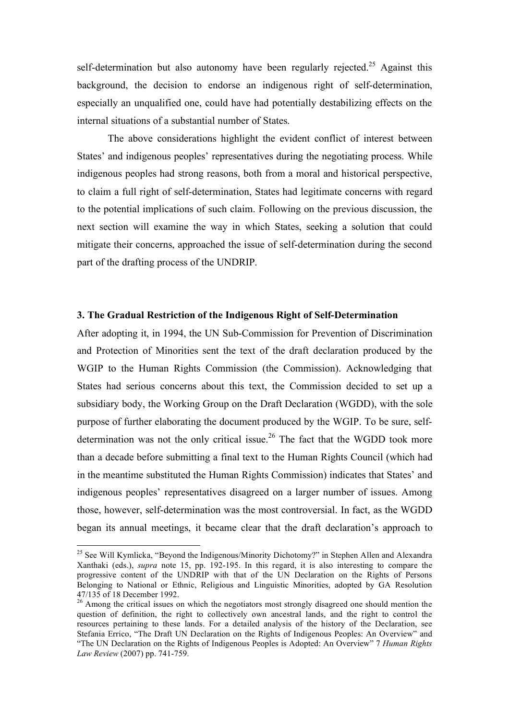self-determination but also autonomy have been regularly rejected.<sup>25</sup> Against this background, the decision to endorse an indigenous right of self-determination, especially an unqualified one, could have had potentially destabilizing effects on the internal situations of a substantial number of States.

The above considerations highlight the evident conflict of interest between States' and indigenous peoples' representatives during the negotiating process. While indigenous peoples had strong reasons, both from a moral and historical perspective, to claim a full right of self-determination, States had legitimate concerns with regard to the potential implications of such claim. Following on the previous discussion, the next section will examine the way in which States, seeking a solution that could mitigate their concerns, approached the issue of self-determination during the second part of the drafting process of the UNDRIP.

#### **3. The Gradual Restriction of the Indigenous Right of Self-Determination**

After adopting it, in 1994, the UN Sub-Commission for Prevention of Discrimination and Protection of Minorities sent the text of the draft declaration produced by the WGIP to the Human Rights Commission (the Commission). Acknowledging that States had serious concerns about this text, the Commission decided to set up a subsidiary body, the Working Group on the Draft Declaration (WGDD), with the sole purpose of further elaborating the document produced by the WGIP. To be sure, selfdetermination was not the only critical issue.<sup>26</sup> The fact that the WGDD took more than a decade before submitting a final text to the Human Rights Council (which had in the meantime substituted the Human Rights Commission) indicates that States' and indigenous peoples' representatives disagreed on a larger number of issues. Among those, however, self-determination was the most controversial. In fact, as the WGDD began its annual meetings, it became clear that the draft declaration's approach to

<sup>&</sup>lt;sup>25</sup> See Will Kymlicka, "Beyond the Indigenous/Minority Dichotomy?" in Stephen Allen and Alexandra Xanthaki (eds.), *supra* note 15, pp. 192-195. In this regard, it is also interesting to compare the progressive content of the UNDRIP with that of the UN Declaration on the Rights of Persons Belonging to National or Ethnic, Religious and Linguistic Minorities, adopted by GA Resolution 47/135 of 18 December 1992.<br><sup>26</sup> Among the critical issues on which the negotiators most strongly disagreed one should mention the

question of definition, the right to collectively own ancestral lands, and the right to control the resources pertaining to these lands. For a detailed analysis of the history of the Declaration, see Stefania Errico, "The Draft UN Declaration on the Rights of Indigenous Peoples: An Overview" and "The UN Declaration on the Rights of Indigenous Peoples is Adopted: An Overview" 7 *Human Rights Law Review* (2007) pp. 741-759.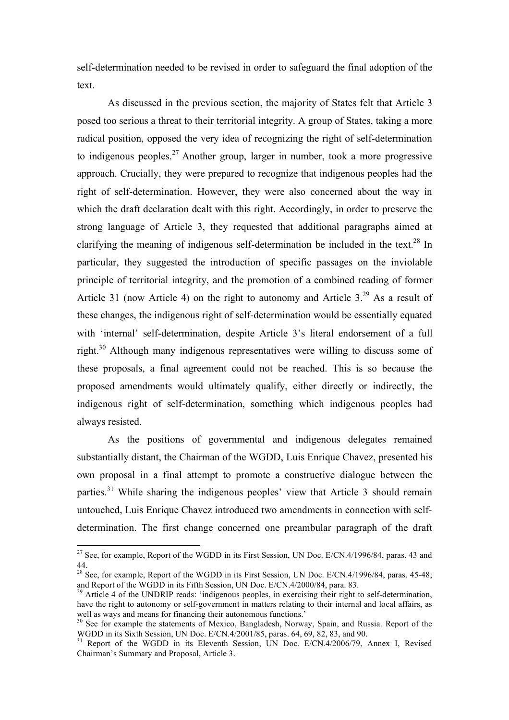self-determination needed to be revised in order to safeguard the final adoption of the text.

As discussed in the previous section, the majority of States felt that Article 3 posed too serious a threat to their territorial integrity. A group of States, taking a more radical position, opposed the very idea of recognizing the right of self-determination to indigenous peoples.<sup>27</sup> Another group, larger in number, took a more progressive approach. Crucially, they were prepared to recognize that indigenous peoples had the right of self-determination. However, they were also concerned about the way in which the draft declaration dealt with this right. Accordingly, in order to preserve the strong language of Article 3, they requested that additional paragraphs aimed at clarifying the meaning of indigenous self-determination be included in the text.<sup>28</sup> In particular, they suggested the introduction of specific passages on the inviolable principle of territorial integrity, and the promotion of a combined reading of former Article 31 (now Article 4) on the right to autonomy and Article  $3.^{29}$  As a result of these changes, the indigenous right of self-determination would be essentially equated with 'internal' self-determination, despite Article 3's literal endorsement of a full right.<sup>30</sup> Although many indigenous representatives were willing to discuss some of these proposals, a final agreement could not be reached. This is so because the proposed amendments would ultimately qualify, either directly or indirectly, the indigenous right of self-determination, something which indigenous peoples had always resisted.

As the positions of governmental and indigenous delegates remained substantially distant, the Chairman of the WGDD, Luis Enrique Chavez, presented his own proposal in a final attempt to promote a constructive dialogue between the parties.<sup>31</sup> While sharing the indigenous peoples' view that Article 3 should remain untouched, Luis Enrique Chavez introduced two amendments in connection with selfdetermination. The first change concerned one preambular paragraph of the draft

<sup>&</sup>lt;sup>27</sup> See, for example, Report of the WGDD in its First Session, UN Doc. E/CN.4/1996/84, paras. 43 and 44.

<sup>&</sup>lt;sup>28</sup> See, for example, Report of the WGDD in its First Session, UN Doc. E/CN.4/1996/84, paras. 45-48; and Report of the WGDD in its Fifth Session, UN Doc. E/CN.4/2000/84, para. 83.<br><sup>29</sup> Article 4 of the UNDRIP reads: 'indigenous peoples, in exercising their right to self-determination,

have the right to autonomy or self-government in matters relating to their internal and local affairs, as well as ways and means for financing their autonomous functions.'

<sup>&</sup>lt;sup>30</sup> See for example the statements of Mexico, Bangladesh, Norway, Spain, and Russia. Report of the WGDD in its Sixth Session, UN Doc.  $E/CN.4/2001/85$ , paras. 64, 69, 82, 83, and 90.

<sup>&</sup>lt;sup>31</sup> Report of the WGDD in its Eleventh Session, UN Doc. E/CN.4/2006/79, Annex I, Revised Chairman's Summary and Proposal, Article 3.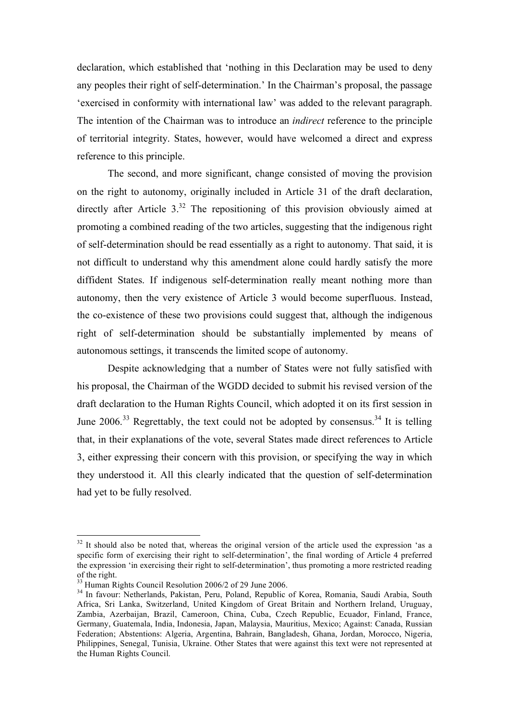declaration, which established that 'nothing in this Declaration may be used to deny any peoples their right of self-determination.' In the Chairman's proposal, the passage 'exercised in conformity with international law' was added to the relevant paragraph. The intention of the Chairman was to introduce an *indirect* reference to the principle of territorial integrity. States, however, would have welcomed a direct and express reference to this principle.

The second, and more significant, change consisted of moving the provision on the right to autonomy, originally included in Article 31 of the draft declaration, directly after Article  $3^{32}$ . The repositioning of this provision obviously aimed at promoting a combined reading of the two articles, suggesting that the indigenous right of self-determination should be read essentially as a right to autonomy. That said, it is not difficult to understand why this amendment alone could hardly satisfy the more diffident States. If indigenous self-determination really meant nothing more than autonomy, then the very existence of Article 3 would become superfluous. Instead, the co-existence of these two provisions could suggest that, although the indigenous right of self-determination should be substantially implemented by means of autonomous settings, it transcends the limited scope of autonomy.

Despite acknowledging that a number of States were not fully satisfied with his proposal, the Chairman of the WGDD decided to submit his revised version of the draft declaration to the Human Rights Council, which adopted it on its first session in June  $2006$ <sup>33</sup> Regrettably, the text could not be adopted by consensus.<sup>34</sup> It is telling that, in their explanations of the vote, several States made direct references to Article 3, either expressing their concern with this provision, or specifying the way in which they understood it. All this clearly indicated that the question of self-determination had yet to be fully resolved.

 $32$  It should also be noted that, whereas the original version of the article used the expression 'as a specific form of exercising their right to self-determination', the final wording of Article 4 preferred the expression 'in exercising their right to self-determination', thus promoting a more restricted reading of the right.<br><sup>33</sup> Human Rights Council Resolution 2006/2 of 29 June 2006.

<sup>&</sup>lt;sup>34</sup> In favour: Netherlands, Pakistan, Peru, Poland, Republic of Korea, Romania, Saudi Arabia, South Africa, Sri Lanka, Switzerland, United Kingdom of Great Britain and Northern Ireland, Uruguay, Zambia, Azerbaijan, Brazil, Cameroon, China, Cuba, Czech Republic, Ecuador, Finland, France, Germany, Guatemala, India, Indonesia, Japan, Malaysia, Mauritius, Mexico; Against: Canada, Russian Federation; Abstentions: Algeria, Argentina, Bahrain, Bangladesh, Ghana, Jordan, Morocco, Nigeria, Philippines, Senegal, Tunisia, Ukraine. Other States that were against this text were not represented at the Human Rights Council.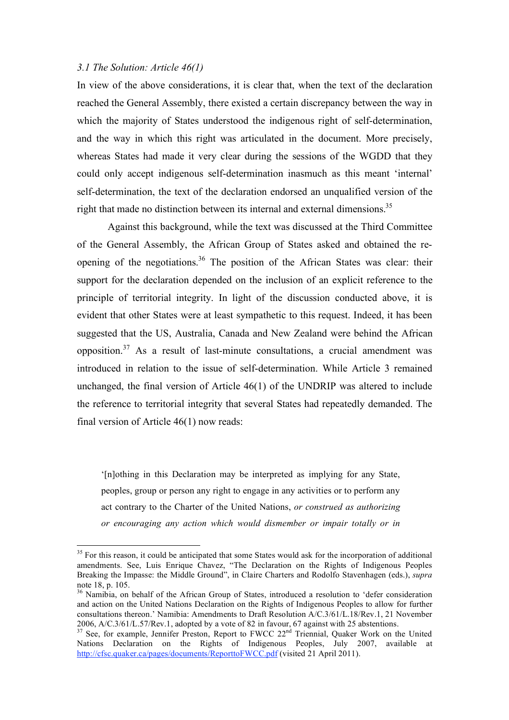#### *3.1 The Solution: Article 46(1)*

In view of the above considerations, it is clear that, when the text of the declaration reached the General Assembly, there existed a certain discrepancy between the way in which the majority of States understood the indigenous right of self-determination, and the way in which this right was articulated in the document. More precisely, whereas States had made it very clear during the sessions of the WGDD that they could only accept indigenous self-determination inasmuch as this meant 'internal' self-determination, the text of the declaration endorsed an unqualified version of the right that made no distinction between its internal and external dimensions.<sup>35</sup>

Against this background, while the text was discussed at the Third Committee of the General Assembly, the African Group of States asked and obtained the reopening of the negotiations.<sup>36</sup> The position of the African States was clear: their support for the declaration depended on the inclusion of an explicit reference to the principle of territorial integrity. In light of the discussion conducted above, it is evident that other States were at least sympathetic to this request. Indeed, it has been suggested that the US, Australia, Canada and New Zealand were behind the African opposition. $37$  As a result of last-minute consultations, a crucial amendment was introduced in relation to the issue of self-determination. While Article 3 remained unchanged, the final version of Article 46(1) of the UNDRIP was altered to include the reference to territorial integrity that several States had repeatedly demanded. The final version of Article 46(1) now reads:

'[n]othing in this Declaration may be interpreted as implying for any State, peoples, group or person any right to engage in any activities or to perform any act contrary to the Charter of the United Nations, *or construed as authorizing or encouraging any action which would dismember or impair totally or in* 

<sup>&</sup>lt;sup>35</sup> For this reason, it could be anticipated that some States would ask for the incorporation of additional amendments. See, Luis Enrique Chavez, "The Declaration on the Rights of Indigenous Peoples Breaking the Impasse: the Middle Ground", in Claire Charters and Rodolfo Stavenhagen (eds.), *supra* note 18, p. 105.

<sup>&</sup>lt;sup>36</sup> Namibia, on behalf of the African Group of States, introduced a resolution to 'defer consideration and action on the United Nations Declaration on the Rights of Indigenous Peoples to allow for further consultations thereon.' Namibia: Amendments to Draft Resolution A/C.3/61/L.18/Rev.1, 21 November 2006, A/C.3/61/L.57/Rev.1, adopted by a vote of 82 in favour, 67 against with 25 abstentions.<br><sup>37</sup> See, for example, Jennifer Preston, Report to FWCC 22<sup>nd</sup> Triennial, Quaker Work on the United

Nations Declaration on the Rights of Indigenous Peoples, July 2007, available at http://cfsc.quaker.ca/pages/documents/ReporttoFWCC.pdf (visited 21 April 2011).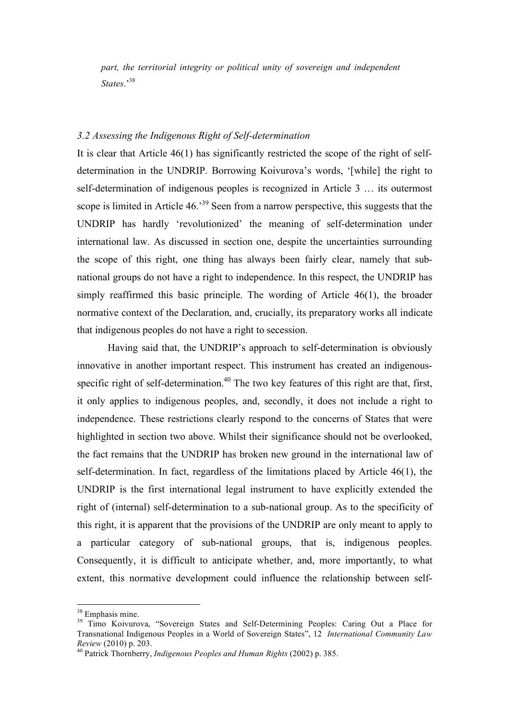*part, the territorial integrity or political unity of sovereign and independent States*.'38

#### *3.2 Assessing the Indigenous Right of Self-determination*

It is clear that Article 46(1) has significantly restricted the scope of the right of selfdetermination in the UNDRIP. Borrowing Koivurova's words, '[while] the right to self-determination of indigenous peoples is recognized in Article 3 … its outermost scope is limited in Article 46.<sup>39</sup> Seen from a narrow perspective, this suggests that the UNDRIP has hardly 'revolutionized' the meaning of self-determination under international law. As discussed in section one, despite the uncertainties surrounding the scope of this right, one thing has always been fairly clear, namely that subnational groups do not have a right to independence. In this respect, the UNDRIP has simply reaffirmed this basic principle. The wording of Article 46(1), the broader normative context of the Declaration, and, crucially, its preparatory works all indicate that indigenous peoples do not have a right to secession.

Having said that, the UNDRIP's approach to self-determination is obviously innovative in another important respect. This instrument has created an indigenousspecific right of self-determination.<sup>40</sup> The two key features of this right are that, first, it only applies to indigenous peoples, and, secondly, it does not include a right to independence. These restrictions clearly respond to the concerns of States that were highlighted in section two above. Whilst their significance should not be overlooked, the fact remains that the UNDRIP has broken new ground in the international law of self-determination. In fact, regardless of the limitations placed by Article 46(1), the UNDRIP is the first international legal instrument to have explicitly extended the right of (internal) self-determination to a sub-national group. As to the specificity of this right, it is apparent that the provisions of the UNDRIP are only meant to apply to a particular category of sub-national groups, that is, indigenous peoples. Consequently, it is difficult to anticipate whether, and, more importantly, to what extent, this normative development could influence the relationship between self-

<sup>&</sup>lt;sup>38</sup> Emphasis mine.

<sup>&</sup>lt;sup>39</sup> Timo Koivurova, "Sovereign States and Self-Determining Peoples: Caring Out a Place for Transnational Indigenous Peoples in a World of Sovereign States", 12 *International Community Law Review* (2010) p. 203. 40 Patrick Thornberry, *Indigenous Peoples and Human Rights* (2002) p. 385.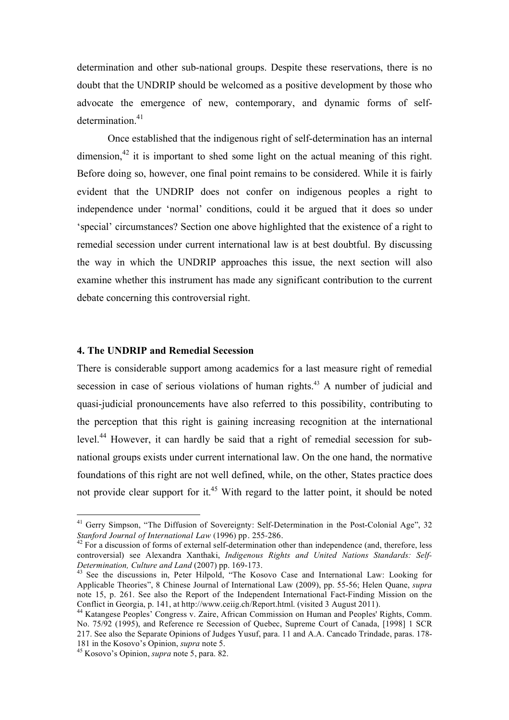determination and other sub-national groups. Despite these reservations, there is no doubt that the UNDRIP should be welcomed as a positive development by those who advocate the emergence of new, contemporary, and dynamic forms of selfdetermination.<sup>41</sup>

Once established that the indigenous right of self-determination has an internal dimension,  $42$  it is important to shed some light on the actual meaning of this right. Before doing so, however, one final point remains to be considered. While it is fairly evident that the UNDRIP does not confer on indigenous peoples a right to independence under 'normal' conditions, could it be argued that it does so under 'special' circumstances? Section one above highlighted that the existence of a right to remedial secession under current international law is at best doubtful. By discussing the way in which the UNDRIP approaches this issue, the next section will also examine whether this instrument has made any significant contribution to the current debate concerning this controversial right.

#### **4. The UNDRIP and Remedial Secession**

There is considerable support among academics for a last measure right of remedial secession in case of serious violations of human rights.<sup>43</sup> A number of judicial and quasi-judicial pronouncements have also referred to this possibility, contributing to the perception that this right is gaining increasing recognition at the international level.44 However, it can hardly be said that a right of remedial secession for subnational groups exists under current international law. On the one hand, the normative foundations of this right are not well defined, while, on the other, States practice does not provide clear support for it.<sup>45</sup> With regard to the latter point, it should be noted

<sup>&</sup>lt;sup>41</sup> Gerry Simpson, "The Diffusion of Sovereignty: Self-Determination in the Post-Colonial Age", 32 *Stanford Journal of International Law* (1996) pp. 255-286.<br><sup>42</sup> For a discussion of forms of external self-determination other than independence (and, therefore, less

controversial) see Alexandra Xanthaki, *Indigenous Rights and United Nations Standards: Self-Determination, Culture and Land* (2007) pp. 169-173.<br><sup>43</sup> See the discussions in, Peter Hilpold, "The Kosovo Case and International Law: Looking for

Applicable Theories", 8 Chinese Journal of International Law (2009), pp. 55-56; Helen Quane, *supra* note 15, p. 261. See also the Report of the Independent International Fact-Finding Mission on the Conflict in Georgia, p. 141, at http://www.ceiig.ch/Report.html. (visited 3 August 2011).

<sup>&</sup>lt;sup>44</sup> Katangese Peoples' Congress v. Zaire, African Commission on Human and Peoples' Rights, Comm. No. 75/92 (1995), and Reference re Secession of Quebec, Supreme Court of Canada, [1998] 1 SCR 217. See also the Separate Opinions of Judges Yusuf, para. 11 and A.A. Cancado Trindade, paras. 178-<br>181 in the Kosovo's Opinion. *supra* note 5.

<sup>&</sup>lt;sup>45</sup> Kosovo's Opinion, *supra* note 5, para. 82.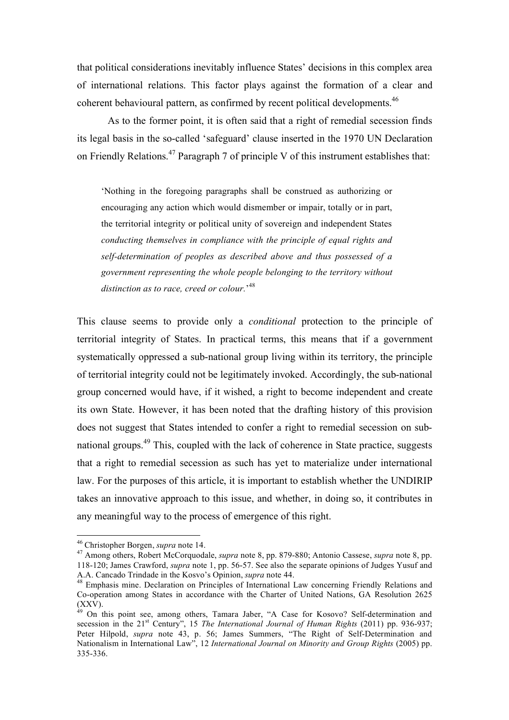that political considerations inevitably influence States' decisions in this complex area of international relations. This factor plays against the formation of a clear and coherent behavioural pattern, as confirmed by recent political developments.46

As to the former point, it is often said that a right of remedial secession finds its legal basis in the so-called 'safeguard' clause inserted in the 1970 UN Declaration on Friendly Relations.<sup>47</sup> Paragraph 7 of principle V of this instrument establishes that:

'Nothing in the foregoing paragraphs shall be construed as authorizing or encouraging any action which would dismember or impair, totally or in part, the territorial integrity or political unity of sovereign and independent States *conducting themselves in compliance with the principle of equal rights and self-determination of peoples as described above and thus possessed of a government representing the whole people belonging to the territory without distinction as to race, creed or colour.*' 48

This clause seems to provide only a *conditional* protection to the principle of territorial integrity of States. In practical terms, this means that if a government systematically oppressed a sub-national group living within its territory, the principle of territorial integrity could not be legitimately invoked. Accordingly, the sub-national group concerned would have, if it wished, a right to become independent and create its own State. However, it has been noted that the drafting history of this provision does not suggest that States intended to confer a right to remedial secession on subnational groups.49 This, coupled with the lack of coherence in State practice, suggests that a right to remedial secession as such has yet to materialize under international law. For the purposes of this article, it is important to establish whether the UNDIRIP takes an innovative approach to this issue, and whether, in doing so, it contributes in any meaningful way to the process of emergence of this right.

<sup>46</sup> Christopher Borgen, *supra* note 14. 47 Among others, Robert McCorquodale, *supra* note 8, pp. 879-880; Antonio Cassese, *supra* note 8, pp. 118-120; James Crawford, *supra* note 1, pp. 56-57. See also the separate opinions of Judges Yusuf and

<sup>&</sup>lt;sup>48</sup> Emphasis mine. Declaration on Principles of International Law concerning Friendly Relations and Co-operation among States in accordance with the Charter of United Nations, GA Resolution 2625 (XXV).

<sup>&</sup>lt;sup>49</sup> On this point see, among others, Tamara Jaber, "A Case for Kosovo? Self-determination and secession in the 21st Century", 15 *The International Journal of Human Rights* (2011) pp. 936-937; Peter Hilpold, *supra* note 43, p. 56; James Summers, "The Right of Self-Determination and Nationalism in International Law", 12 *International Journal on Minority and Group Rights* (2005) pp. 335-336.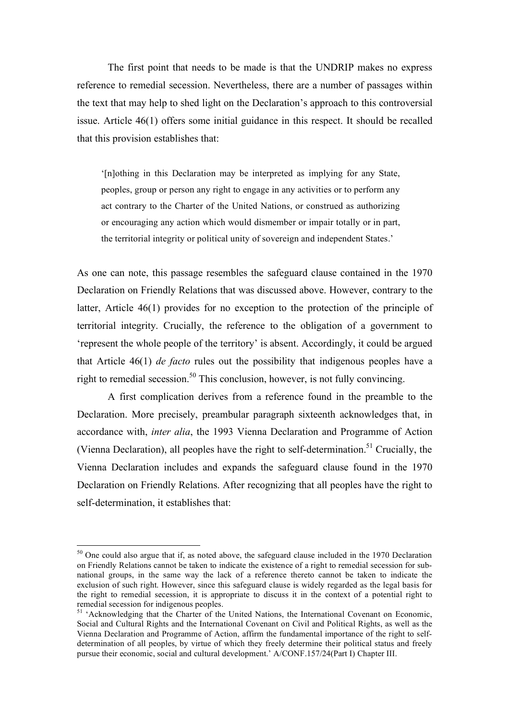The first point that needs to be made is that the UNDRIP makes no express reference to remedial secession. Nevertheless, there are a number of passages within the text that may help to shed light on the Declaration's approach to this controversial issue. Article 46(1) offers some initial guidance in this respect. It should be recalled that this provision establishes that:

'[n]othing in this Declaration may be interpreted as implying for any State, peoples, group or person any right to engage in any activities or to perform any act contrary to the Charter of the United Nations, or construed as authorizing or encouraging any action which would dismember or impair totally or in part, the territorial integrity or political unity of sovereign and independent States.'

As one can note, this passage resembles the safeguard clause contained in the 1970 Declaration on Friendly Relations that was discussed above. However, contrary to the latter, Article 46(1) provides for no exception to the protection of the principle of territorial integrity. Crucially, the reference to the obligation of a government to 'represent the whole people of the territory' is absent. Accordingly, it could be argued that Article 46(1) *de facto* rules out the possibility that indigenous peoples have a right to remedial secession.<sup>50</sup> This conclusion, however, is not fully convincing.

A first complication derives from a reference found in the preamble to the Declaration. More precisely, preambular paragraph sixteenth acknowledges that, in accordance with, *inter alia*, the 1993 Vienna Declaration and Programme of Action (Vienna Declaration), all peoples have the right to self-determination.<sup>51</sup> Crucially, the Vienna Declaration includes and expands the safeguard clause found in the 1970 Declaration on Friendly Relations. After recognizing that all peoples have the right to self-determination, it establishes that:

<sup>&</sup>lt;sup>50</sup> One could also argue that if, as noted above, the safeguard clause included in the 1970 Declaration on Friendly Relations cannot be taken to indicate the existence of a right to remedial secession for subnational groups, in the same way the lack of a reference thereto cannot be taken to indicate the exclusion of such right. However, since this safeguard clause is widely regarded as the legal basis for the right to remedial secession, it is appropriate to discuss it in the context of a potential right to remedial secession for indigenous peoples.

<sup>&</sup>lt;sup>51</sup> 'Acknowledging that the Charter of the United Nations, the International Covenant on Economic, Social and Cultural Rights and the International Covenant on Civil and Political Rights, as well as the Vienna Declaration and Programme of Action, affirm the fundamental importance of the right to selfdetermination of all peoples, by virtue of which they freely determine their political status and freely pursue their economic, social and cultural development.' A/CONF.157/24(Part I) Chapter III.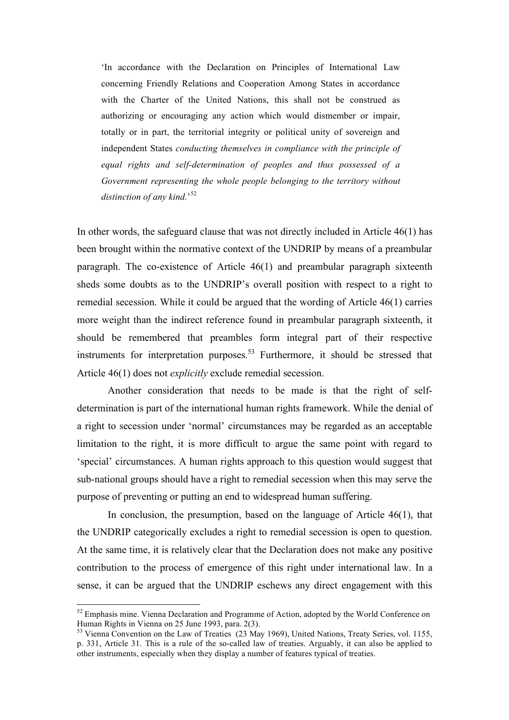'In accordance with the Declaration on Principles of International Law concerning Friendly Relations and Cooperation Among States in accordance with the Charter of the United Nations, this shall not be construed as authorizing or encouraging any action which would dismember or impair, totally or in part, the territorial integrity or political unity of sovereign and independent States *conducting themselves in compliance with the principle of equal rights and self-determination of peoples and thus possessed of a Government representing the whole people belonging to the territory without distinction of any kind.*' 52

In other words, the safeguard clause that was not directly included in Article 46(1) has been brought within the normative context of the UNDRIP by means of a preambular paragraph. The co-existence of Article 46(1) and preambular paragraph sixteenth sheds some doubts as to the UNDRIP's overall position with respect to a right to remedial secession. While it could be argued that the wording of Article 46(1) carries more weight than the indirect reference found in preambular paragraph sixteenth, it should be remembered that preambles form integral part of their respective instruments for interpretation purposes. 53 Furthermore, it should be stressed that Article 46(1) does not *explicitly* exclude remedial secession.

Another consideration that needs to be made is that the right of selfdetermination is part of the international human rights framework. While the denial of a right to secession under 'normal' circumstances may be regarded as an acceptable limitation to the right, it is more difficult to argue the same point with regard to 'special' circumstances. A human rights approach to this question would suggest that sub-national groups should have a right to remedial secession when this may serve the purpose of preventing or putting an end to widespread human suffering.

In conclusion, the presumption, based on the language of Article 46(1), that the UNDRIP categorically excludes a right to remedial secession is open to question. At the same time, it is relatively clear that the Declaration does not make any positive contribution to the process of emergence of this right under international law. In a sense, it can be argued that the UNDRIP eschews any direct engagement with this

<sup>&</sup>lt;sup>52</sup> Emphasis mine. Vienna Declaration and Programme of Action, adopted by the World Conference on Human Rights in Vienna on 25 June 1993, para. 2(3).

 $53$  Vienna Convention on the Law of Treaties (23 May 1969), United Nations, Treaty Series, vol. 1155, p. 331, Article 31. This is a rule of the so-called law of treaties. Arguably, it can also be applied to other instruments, especially when they display a number of features typical of treaties.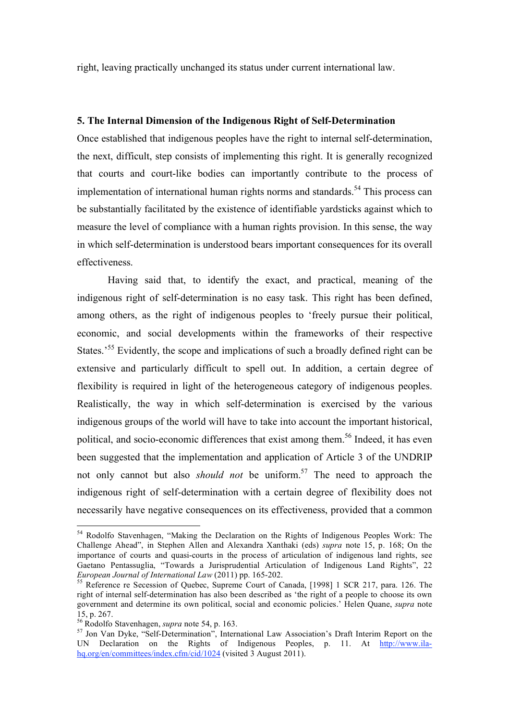right, leaving practically unchanged its status under current international law.

#### **5. The Internal Dimension of the Indigenous Right of Self-Determination**

Once established that indigenous peoples have the right to internal self-determination, the next, difficult, step consists of implementing this right. It is generally recognized that courts and court-like bodies can importantly contribute to the process of implementation of international human rights norms and standards.<sup>54</sup> This process can be substantially facilitated by the existence of identifiable yardsticks against which to measure the level of compliance with a human rights provision. In this sense, the way in which self-determination is understood bears important consequences for its overall effectiveness.

Having said that, to identify the exact, and practical, meaning of the indigenous right of self-determination is no easy task. This right has been defined, among others, as the right of indigenous peoples to 'freely pursue their political, economic, and social developments within the frameworks of their respective States.<sup>55</sup> Evidently, the scope and implications of such a broadly defined right can be extensive and particularly difficult to spell out. In addition, a certain degree of flexibility is required in light of the heterogeneous category of indigenous peoples. Realistically, the way in which self-determination is exercised by the various indigenous groups of the world will have to take into account the important historical, political, and socio-economic differences that exist among them.<sup>56</sup> Indeed, it has even been suggested that the implementation and application of Article 3 of the UNDRIP not only cannot but also *should not* be uniform.<sup>57</sup> The need to approach the indigenous right of self-determination with a certain degree of flexibility does not necessarily have negative consequences on its effectiveness, provided that a common

<sup>&</sup>lt;sup>54</sup> Rodolfo Stavenhagen, "Making the Declaration on the Rights of Indigenous Peoples Work: The Challenge Ahead", in Stephen Allen and Alexandra Xanthaki (eds) *supra* note 15, p. 168; On the importance of courts and quasi-courts in the process of articulation of indigenous land rights, see Gaetano Pentassuglia, "Towards a Jurisprudential Articulation of Indigenous Land Rights", 22 European Journal of International Law (2011) pp. 165-202.

<sup>&</sup>lt;sup>55</sup> Reference re Secession of Ouebec, Supreme Court of Canada, [1998] 1 SCR 217, para. 126. The right of internal self-determination has also been described as 'the right of a people to choose its own government and determine its own political, social and economic policies.' Helen Quane, *supra* note 15, p. 267.<br><sup>56</sup> Rodolfo Stavenhagen, *supra* note 54, p. 163.

<sup>56</sup> Rodolfo Stavenhagen, *supra* note 54, p. 163. 57 Jon Van Dyke, "Self-Determination", International Law Association's Draft Interim Report on the UN Declaration on the Rights of Indigenous Peoples, p. 11. At http://www.ilahq.org/en/committees/index.cfm/cid/1024 (visited 3 August 2011).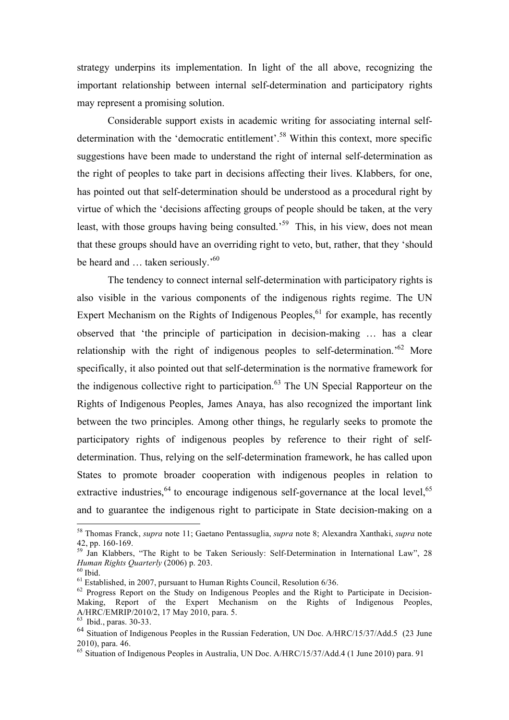strategy underpins its implementation. In light of the all above, recognizing the important relationship between internal self-determination and participatory rights may represent a promising solution.

Considerable support exists in academic writing for associating internal selfdetermination with the 'democratic entitlement'.<sup>58</sup> Within this context, more specific suggestions have been made to understand the right of internal self-determination as the right of peoples to take part in decisions affecting their lives. Klabbers, for one, has pointed out that self-determination should be understood as a procedural right by virtue of which the 'decisions affecting groups of people should be taken, at the very least, with those groups having being consulted.<sup>59</sup> This, in his view, does not mean that these groups should have an overriding right to veto, but, rather, that they 'should be heard and ... taken seriously.<sup>'60</sup>

The tendency to connect internal self-determination with participatory rights is also visible in the various components of the indigenous rights regime. The UN Expert Mechanism on the Rights of Indigenous Peoples,  $61$  for example, has recently observed that 'the principle of participation in decision-making … has a clear relationship with the right of indigenous peoples to self-determination.<sup>'62</sup> More specifically, it also pointed out that self-determination is the normative framework for the indigenous collective right to participation. $63$  The UN Special Rapporteur on the Rights of Indigenous Peoples, James Anaya, has also recognized the important link between the two principles. Among other things, he regularly seeks to promote the participatory rights of indigenous peoples by reference to their right of selfdetermination. Thus, relying on the self-determination framework, he has called upon States to promote broader cooperation with indigenous peoples in relation to extractive industries,  $64$  to encourage indigenous self-governance at the local level,  $65$ and to guarantee the indigenous right to participate in State decision-making on a

 <sup>58</sup> Thomas Franck, *supra* note 11; Gaetano Pentassuglia, *supra* note 8; Alexandra Xanthaki, *supra* note

<sup>42,</sup> pp. 160-169.<br><sup>59</sup> Jan Klabbers, "The Right to be Taken Seriously: Self-Determination in International Law", 28 *Human Rights Quarterly* (2006) p. 203.<br><sup>60</sup> Ibid.<br><sup>61</sup> Established, in 2007, pursuant to Human Rights Council, Resolution 6/36.

<sup>&</sup>lt;sup>62</sup> Progress Report on the Study on Indigenous Peoples and the Right to Participate in Decision-Making, Report of the Expert Mechanism on the Rights of Indigenous Peoples, A/HRC/EMRIP/2010/2, 17 May 2010, para. 5. 63 Ibid., paras. 30-33.

<sup>64</sup> Situation of Indigenous Peoples in the Russian Federation, UN Doc. A/HRC/15/37/Add.5 (23 June 2010), para. 46

<sup>65</sup> Situation of Indigenous Peoples in Australia, UN Doc. A/HRC/15/37/Add.4 (1 June 2010) para. 91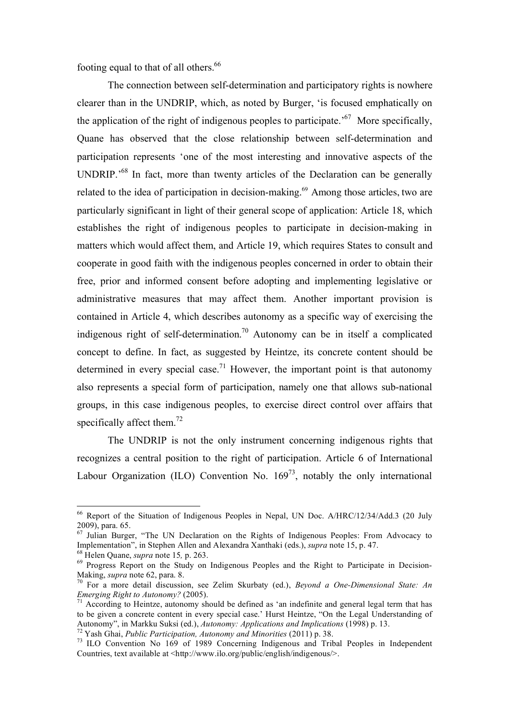footing equal to that of all others.<sup>66</sup>

The connection between self-determination and participatory rights is nowhere clearer than in the UNDRIP, which, as noted by Burger, 'is focused emphatically on the application of the right of indigenous peoples to participate.'67 More specifically, Quane has observed that the close relationship between self-determination and participation represents 'one of the most interesting and innovative aspects of the UNDRIP.'68 In fact, more than twenty articles of the Declaration can be generally related to the idea of participation in decision-making.<sup>69</sup> Among those articles, two are particularly significant in light of their general scope of application: Article 18, which establishes the right of indigenous peoples to participate in decision-making in matters which would affect them, and Article 19, which requires States to consult and cooperate in good faith with the indigenous peoples concerned in order to obtain their free, prior and informed consent before adopting and implementing legislative or administrative measures that may affect them. Another important provision is contained in Article 4, which describes autonomy as a specific way of exercising the indigenous right of self-determination.<sup>70</sup> Autonomy can be in itself a complicated concept to define. In fact, as suggested by Heintze, its concrete content should be determined in every special case.<sup>71</sup> However, the important point is that autonomy also represents a special form of participation, namely one that allows sub-national groups, in this case indigenous peoples, to exercise direct control over affairs that specifically affect them.<sup>72</sup>

The UNDRIP is not the only instrument concerning indigenous rights that recognizes a central position to the right of participation. Article 6 of International Labour Organization (ILO) Convention No.  $169^{73}$ , notably the only international

<sup>&</sup>lt;sup>66</sup> Report of the Situation of Indigenous Peoples in Nepal, UN Doc. A/HRC/12/34/Add.3 (20 July 2009), para. 65.

 $\frac{67}{100}$  Julian Burger, "The UN Declaration on the Rights of Indigenous Peoples: From Advocacy to Implementation", in Stephen Allen and Alexandra Xanthaki (eds.), *supra* note 15, p. 47.

<sup>&</sup>lt;sup>68</sup> Helen Quane, *supra* note 15, p. 263.<br><sup>69</sup> Progress Report on the Study on Indigenous Peoples and the Right to Participate in Decision-<br>Making, *supra* note 62, para. 8.

<sup>&</sup>lt;sup>70</sup> For a more detail discussion, see Zelim Skurbaty (ed.), *Beyond a One-Dimensional State: An Emerging Right to Autonomy?* (2005).<br><sup>71</sup> According to Heintze, autonomy should be defined as 'an indefinite and general legal term that has

to be given a concrete content in every special case.' Hurst Heintze, "On the Legal Understanding of Autonomy", in Markku Suksi (ed.), Autonomy: Applications and Implications (1998) p. 13.<br><sup>72</sup> Yash Ghai, *Public Participation, Autonomy and Minorities* (2011) p. 38.<br><sup>73</sup> ILO Convention No 169 of 1989 Concerning Indigenous

Countries, text available at <http://www.ilo.org/public/english/indigenous/>.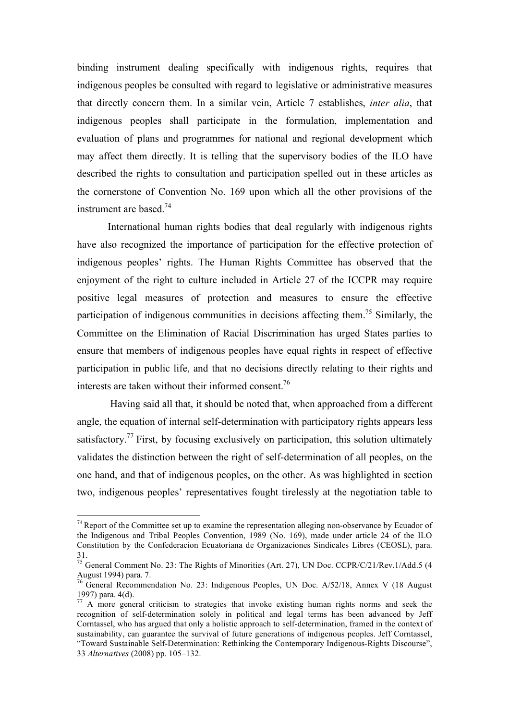binding instrument dealing specifically with indigenous rights, requires that indigenous peoples be consulted with regard to legislative or administrative measures that directly concern them. In a similar vein, Article 7 establishes, *inter alia*, that indigenous peoples shall participate in the formulation, implementation and evaluation of plans and programmes for national and regional development which may affect them directly. It is telling that the supervisory bodies of the ILO have described the rights to consultation and participation spelled out in these articles as the cornerstone of Convention No. 169 upon which all the other provisions of the instrument are based.74

International human rights bodies that deal regularly with indigenous rights have also recognized the importance of participation for the effective protection of indigenous peoples' rights. The Human Rights Committee has observed that the enjoyment of the right to culture included in Article 27 of the ICCPR may require positive legal measures of protection and measures to ensure the effective participation of indigenous communities in decisions affecting them.<sup>75</sup> Similarly, the Committee on the Elimination of Racial Discrimination has urged States parties to ensure that members of indigenous peoples have equal rights in respect of effective participation in public life, and that no decisions directly relating to their rights and interests are taken without their informed consent.<sup>76</sup>

 Having said all that, it should be noted that, when approached from a different angle, the equation of internal self-determination with participatory rights appears less satisfactory.<sup>77</sup> First, by focusing exclusively on participation, this solution ultimately validates the distinction between the right of self-determination of all peoples, on the one hand, and that of indigenous peoples, on the other. As was highlighted in section two, indigenous peoples' representatives fought tirelessly at the negotiation table to

 $74$  Report of the Committee set up to examine the representation alleging non-observance by Ecuador of the Indigenous and Tribal Peoples Convention, 1989 (No. 169), made under article 24 of the ILO Constitution by the Confederacion Ecuatoriana de Organizaciones Sindicales Libres (CEOSL), para. 31.

<sup>&</sup>lt;sup>75</sup> General Comment No. 23: The Rights of Minorities (Art. 27), UN Doc. CCPR/C/21/Rev.1/Add.5 (4 August 1994) para. 7.

<sup>76</sup> General Recommendation No. 23: Indigenous Peoples, UN Doc. A/52/18, Annex V (18 August 1997) para. 4(d).

 $77$  A more general criticism to strategies that invoke existing human rights norms and seek the recognition of self-determination solely in political and legal terms has been advanced by Jeff Corntassel, who has argued that only a holistic approach to self-determination, framed in the context of sustainability, can guarantee the survival of future generations of indigenous peoples. Jeff Corntassel, "Toward Sustainable Self-Determination: Rethinking the Contemporary Indigenous-Rights Discourse", 33 *Alternatives* (2008) pp. 105–132.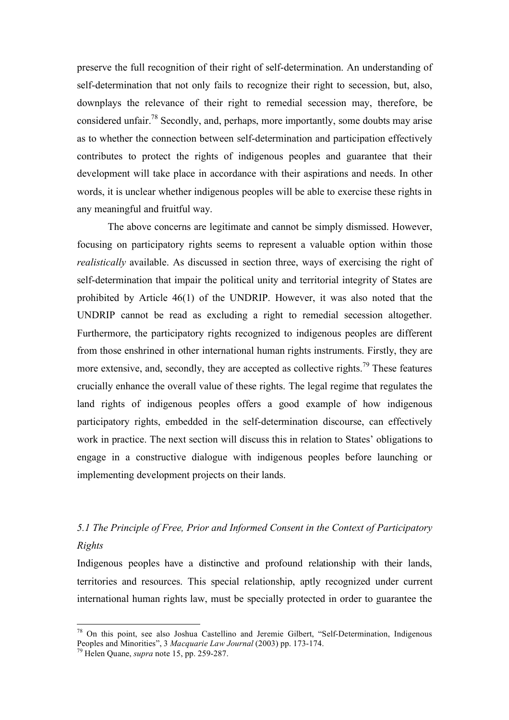preserve the full recognition of their right of self-determination. An understanding of self-determination that not only fails to recognize their right to secession, but, also, downplays the relevance of their right to remedial secession may, therefore, be considered unfair.78 Secondly, and, perhaps, more importantly, some doubts may arise as to whether the connection between self-determination and participation effectively contributes to protect the rights of indigenous peoples and guarantee that their development will take place in accordance with their aspirations and needs. In other words, it is unclear whether indigenous peoples will be able to exercise these rights in any meaningful and fruitful way.

The above concerns are legitimate and cannot be simply dismissed. However, focusing on participatory rights seems to represent a valuable option within those *realistically* available. As discussed in section three, ways of exercising the right of self-determination that impair the political unity and territorial integrity of States are prohibited by Article 46(1) of the UNDRIP. However, it was also noted that the UNDRIP cannot be read as excluding a right to remedial secession altogether. Furthermore, the participatory rights recognized to indigenous peoples are different from those enshrined in other international human rights instruments. Firstly, they are more extensive, and, secondly, they are accepted as collective rights.<sup>79</sup> These features crucially enhance the overall value of these rights. The legal regime that regulates the land rights of indigenous peoples offers a good example of how indigenous participatory rights, embedded in the self-determination discourse, can effectively work in practice. The next section will discuss this in relation to States' obligations to engage in a constructive dialogue with indigenous peoples before launching or implementing development projects on their lands.

### *5.1 The Principle of Free, Prior and Informed Consent in the Context of Participatory Rights*

Indigenous peoples have a distinctive and profound relationship with their lands, territories and resources. This special relationship, aptly recognized under current international human rights law, must be specially protected in order to guarantee the

<sup>&</sup>lt;sup>78</sup> On this point, see also Joshua Castellino and Jeremie Gilbert, "Self-Determination, Indigenous Peoples and Minorities", 3 *Macquarie Law Journal* (2003) pp. 173-174. <sup>79</sup> Helen Quane, *supra* note 15, pp. 259-287.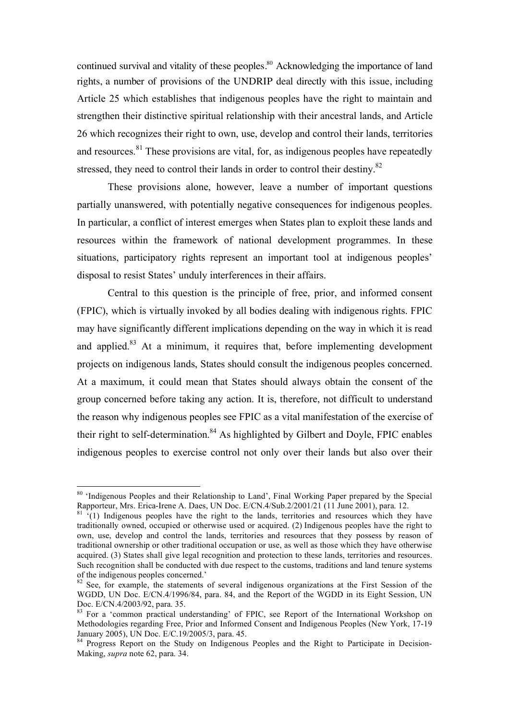continued survival and vitality of these peoples.<sup>80</sup> Acknowledging the importance of land rights, a number of provisions of the UNDRIP deal directly with this issue, including Article 25 which establishes that indigenous peoples have the right to maintain and strengthen their distinctive spiritual relationship with their ancestral lands, and Article 26 which recognizes their right to own, use, develop and control their lands, territories and resources.<sup>81</sup> These provisions are vital, for, as indigenous peoples have repeatedly stressed, they need to control their lands in order to control their destiny.<sup>82</sup>

These provisions alone, however, leave a number of important questions partially unanswered, with potentially negative consequences for indigenous peoples. In particular, a conflict of interest emerges when States plan to exploit these lands and resources within the framework of national development programmes. In these situations, participatory rights represent an important tool at indigenous peoples' disposal to resist States' unduly interferences in their affairs.

Central to this question is the principle of free, prior, and informed consent (FPIC), which is virtually invoked by all bodies dealing with indigenous rights. FPIC may have significantly different implications depending on the way in which it is read and applied. $83$  At a minimum, it requires that, before implementing development projects on indigenous lands, States should consult the indigenous peoples concerned. At a maximum, it could mean that States should always obtain the consent of the group concerned before taking any action. It is, therefore, not difficult to understand the reason why indigenous peoples see FPIC as a vital manifestation of the exercise of their right to self-determination.<sup>84</sup> As highlighted by Gilbert and Doyle, FPIC enables indigenous peoples to exercise control not only over their lands but also over their

<sup>&</sup>lt;sup>80</sup> 'Indigenous Peoples and their Relationship to Land', Final Working Paper prepared by the Special Rapporteur, Mrs. Erica-Irene A. Daes, UN Doc. E/CN.4/Sub.2/2001/21 (11 June 2001), para. 12.  $\frac{81}{11}$  (1) Indigenous peoples have the right to the lands, territories and resources which they have

traditionally owned, occupied or otherwise used or acquired. (2) Indigenous peoples have the right to own, use, develop and control the lands, territories and resources that they possess by reason of traditional ownership or other traditional occupation or use, as well as those which they have otherwise acquired. (3) States shall give legal recognition and protection to these lands, territories and resources. Such recognition shall be conducted with due respect to the customs, traditions and land tenure systems of the indigenous peoples concerned.'

<sup>&</sup>lt;sup>82</sup> See, for example, the statements of several indigenous organizations at the First Session of the WGDD, UN Doc. E/CN.4/1996/84, para. 84, and the Report of the WGDD in its Eight Session, UN Doc. E/CN.4/2003/92, para. 35.

<sup>&</sup>lt;sup>83</sup> For a 'common practical understanding' of FPIC, see Report of the International Workshop on Methodologies regarding Free, Prior and Informed Consent and Indigenous Peoples (New York, 17-19 January 2005), UN Doc. E/C.19/2005/3, para. 45.

<sup>&</sup>lt;sup>84</sup> Progress Report on the Study on Indigenous Peoples and the Right to Participate in Decision-Making, *supra* note 62, para. 34.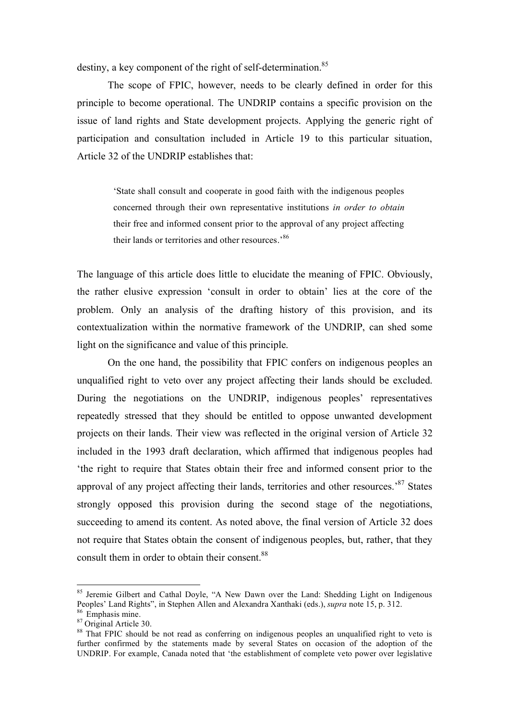destiny, a key component of the right of self-determination.<sup>85</sup>

The scope of FPIC, however, needs to be clearly defined in order for this principle to become operational. The UNDRIP contains a specific provision on the issue of land rights and State development projects. Applying the generic right of participation and consultation included in Article 19 to this particular situation, Article 32 of the UNDRIP establishes that:

> 'State shall consult and cooperate in good faith with the indigenous peoples concerned through their own representative institutions *in order to obtain* their free and informed consent prior to the approval of any project affecting their lands or territories and other resources.'<sup>86</sup>

The language of this article does little to elucidate the meaning of FPIC. Obviously, the rather elusive expression 'consult in order to obtain' lies at the core of the problem. Only an analysis of the drafting history of this provision, and its contextualization within the normative framework of the UNDRIP, can shed some light on the significance and value of this principle.

On the one hand, the possibility that FPIC confers on indigenous peoples an unqualified right to veto over any project affecting their lands should be excluded. During the negotiations on the UNDRIP, indigenous peoples' representatives repeatedly stressed that they should be entitled to oppose unwanted development projects on their lands. Their view was reflected in the original version of Article 32 included in the 1993 draft declaration, which affirmed that indigenous peoples had 'the right to require that States obtain their free and informed consent prior to the approval of any project affecting their lands, territories and other resources.<sup>87</sup> States strongly opposed this provision during the second stage of the negotiations, succeeding to amend its content. As noted above, the final version of Article 32 does not require that States obtain the consent of indigenous peoples, but, rather, that they consult them in order to obtain their consent.<sup>88</sup>

<sup>&</sup>lt;sup>85</sup> Jeremie Gilbert and Cathal Doyle, "A New Dawn over the Land: Shedding Light on Indigenous Peoples' Land Rights", in Stephen Allen and Alexandra Xanthaki (eds.), *supra* note 15, p. 312. 86 Emphasis mine. 87 Original Article 30.

<sup>&</sup>lt;sup>88</sup> That FPIC should be not read as conferring on indigenous peoples an unqualified right to veto is further confirmed by the statements made by several States on occasion of the adoption of the UNDRIP. For example, Canada noted that 'the establishment of complete veto power over legislative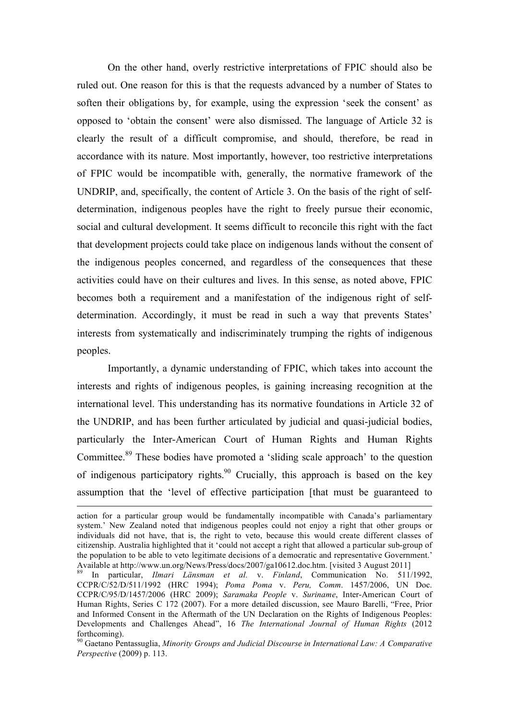On the other hand, overly restrictive interpretations of FPIC should also be ruled out. One reason for this is that the requests advanced by a number of States to soften their obligations by, for example, using the expression 'seek the consent' as opposed to 'obtain the consent' were also dismissed. The language of Article 32 is clearly the result of a difficult compromise, and should, therefore, be read in accordance with its nature. Most importantly, however, too restrictive interpretations of FPIC would be incompatible with, generally, the normative framework of the UNDRIP, and, specifically, the content of Article 3. On the basis of the right of selfdetermination, indigenous peoples have the right to freely pursue their economic, social and cultural development. It seems difficult to reconcile this right with the fact that development projects could take place on indigenous lands without the consent of the indigenous peoples concerned, and regardless of the consequences that these activities could have on their cultures and lives. In this sense, as noted above, FPIC becomes both a requirement and a manifestation of the indigenous right of selfdetermination. Accordingly, it must be read in such a way that prevents States' interests from systematically and indiscriminately trumping the rights of indigenous peoples.

Importantly, a dynamic understanding of FPIC, which takes into account the interests and rights of indigenous peoples, is gaining increasing recognition at the international level. This understanding has its normative foundations in Article 32 of the UNDRIP, and has been further articulated by judicial and quasi-judicial bodies, particularly the Inter-American Court of Human Rights and Human Rights Committee.<sup>89</sup> These bodies have promoted a 'sliding scale approach' to the question of indigenous participatory rights.<sup>90</sup> Crucially, this approach is based on the key assumption that the 'level of effective participation [that must be guaranteed to

action for a particular group would be fundamentally incompatible with Canada's parliamentary system.' New Zealand noted that indigenous peoples could not enjoy a right that other groups or individuals did not have, that is, the right to veto, because this would create different classes of citizenship. Australia highlighted that it 'could not accept a right that allowed a particular sub-group of the population to be able to veto legitimate decisions of a democratic and representative Government.' Available at http://www.un.org/News/Press/docs/2007/ga10612.doc.htm. [visited 3 August 2011]<br><sup>89</sup> In particular, *Ilmari Länsman et al. v. Finland*, Communication No. 511/1992,

CCPR/C/52/D/511/1992 (HRC 1994); *Poma Poma* v. *Peru, Comm*. 1457/2006, UN Doc. CCPR/C/95/D/1457/2006 (HRC 2009); *Saramaka People* v. *Suriname*, Inter-American Court of Human Rights, Series C 172 (2007). For a more detailed discussion, see Mauro Barelli, "Free, Prior and Informed Consent in the Aftermath of the UN Declaration on the Rights of Indigenous Peoples: Developments and Challenges Ahead", 16 *The International Journal of Human Rights* (2012 forthcoming). <sup>90</sup> Gaetano Pentassuglia, *Minority Groups and Judicial Discourse in International Law: A Comparative* 

*Perspective* (2009) p. 113.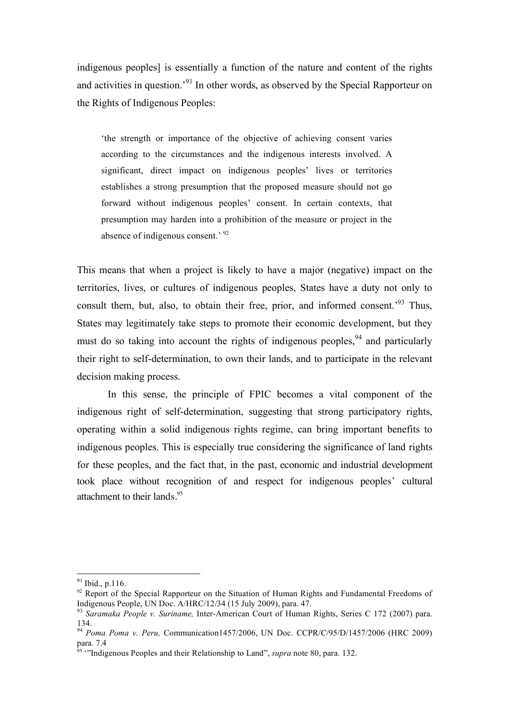indigenous peoples] is essentially a function of the nature and content of the rights and activities in question.<sup>91</sup> In other words, as observed by the Special Rapporteur on the Rights of Indigenous Peoples:

'the strength or importance of the objective of achieving consent varies according to the circumstances and the indigenous interests involved. A significant, direct impact on indigenous peoples' lives or territories establishes a strong presumption that the proposed measure should not go forward without indigenous peoples' consent. In certain contexts, that presumption may harden into a prohibition of the measure or project in the absence of indigenous consent.' <sup>92</sup>

This means that when a project is likely to have a major (negative) impact on the territories, lives, or cultures of indigenous peoples, States have a duty not only to consult them, but, also, to obtain their free, prior, and informed consent.<sup>93</sup> Thus, States may legitimately take steps to promote their economic development, but they must do so taking into account the rights of indigenous peoples,  $94$  and particularly their right to self-determination, to own their lands, and to participate in the relevant decision making process.

In this sense, the principle of FPIC becomes a vital component of the indigenous right of self-determination, suggesting that strong participatory rights, operating within a solid indigenous rights regime, can bring important benefits to indigenous peoples. This is especially true considering the significance of land rights for these peoples, and the fact that, in the past, economic and industrial development took place without recognition of and respect for indigenous peoples' cultural attachment to their lands.<sup>95</sup>

 <sup>91</sup> Ibid., p.116.

<sup>&</sup>lt;sup>92</sup> Report of the Special Rapporteur on the Situation of Human Rights and Fundamental Freedoms of Indigenous People, UN Doc.  $A/HRC/12/34$  (15 July 2009), para. 47.

<sup>&</sup>lt;sup>93</sup> Saramaka People v. Suriname, Inter-American Court of Human Rights, Series C 172 (2007) para. 134.

<sup>94</sup> *Poma Poma v. Peru,* Communication1457/2006, UN Doc. CCPR/C/95/D/1457/2006 (HRC 2009) para. 7.4

<sup>95</sup> '"Indigenous Peoples and their Relationship to Land", *supra* note 80, para. 132.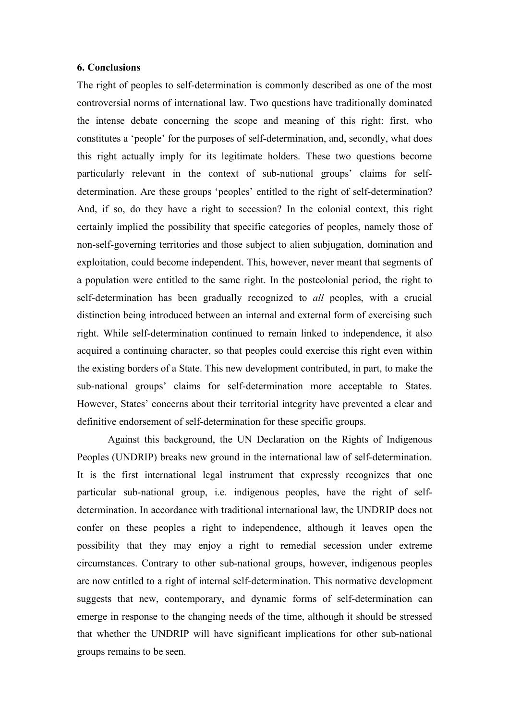#### **6. Conclusions**

The right of peoples to self-determination is commonly described as one of the most controversial norms of international law. Two questions have traditionally dominated the intense debate concerning the scope and meaning of this right: first, who constitutes a 'people' for the purposes of self-determination, and, secondly, what does this right actually imply for its legitimate holders. These two questions become particularly relevant in the context of sub-national groups' claims for selfdetermination. Are these groups 'peoples' entitled to the right of self-determination? And, if so, do they have a right to secession? In the colonial context, this right certainly implied the possibility that specific categories of peoples, namely those of non-self-governing territories and those subject to alien subjugation, domination and exploitation, could become independent. This, however, never meant that segments of a population were entitled to the same right. In the postcolonial period, the right to self-determination has been gradually recognized to *all* peoples, with a crucial distinction being introduced between an internal and external form of exercising such right. While self-determination continued to remain linked to independence, it also acquired a continuing character, so that peoples could exercise this right even within the existing borders of a State. This new development contributed, in part, to make the sub-national groups' claims for self-determination more acceptable to States. However, States' concerns about their territorial integrity have prevented a clear and definitive endorsement of self-determination for these specific groups.

Against this background, the UN Declaration on the Rights of Indigenous Peoples (UNDRIP) breaks new ground in the international law of self-determination. It is the first international legal instrument that expressly recognizes that one particular sub-national group, i.e. indigenous peoples, have the right of selfdetermination. In accordance with traditional international law, the UNDRIP does not confer on these peoples a right to independence, although it leaves open the possibility that they may enjoy a right to remedial secession under extreme circumstances. Contrary to other sub-national groups, however, indigenous peoples are now entitled to a right of internal self-determination. This normative development suggests that new, contemporary, and dynamic forms of self-determination can emerge in response to the changing needs of the time, although it should be stressed that whether the UNDRIP will have significant implications for other sub-national groups remains to be seen.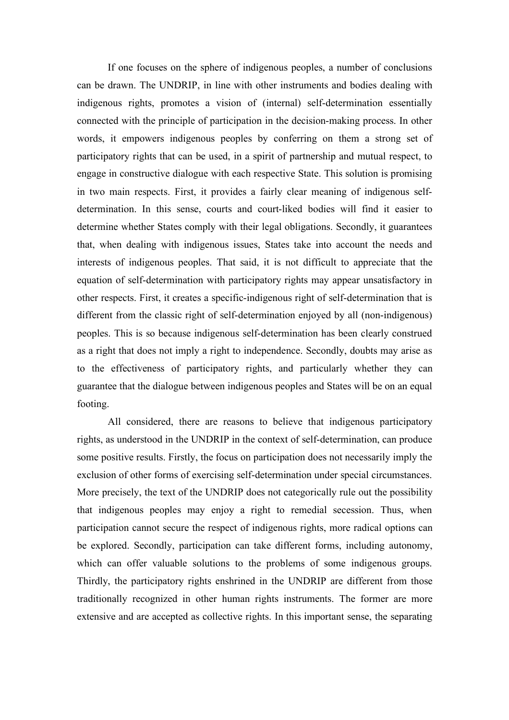If one focuses on the sphere of indigenous peoples, a number of conclusions can be drawn. The UNDRIP, in line with other instruments and bodies dealing with indigenous rights, promotes a vision of (internal) self-determination essentially connected with the principle of participation in the decision-making process. In other words, it empowers indigenous peoples by conferring on them a strong set of participatory rights that can be used, in a spirit of partnership and mutual respect, to engage in constructive dialogue with each respective State. This solution is promising in two main respects. First, it provides a fairly clear meaning of indigenous selfdetermination. In this sense, courts and court-liked bodies will find it easier to determine whether States comply with their legal obligations. Secondly, it guarantees that, when dealing with indigenous issues, States take into account the needs and interests of indigenous peoples. That said, it is not difficult to appreciate that the equation of self-determination with participatory rights may appear unsatisfactory in other respects. First, it creates a specific-indigenous right of self-determination that is different from the classic right of self-determination enjoyed by all (non-indigenous) peoples. This is so because indigenous self-determination has been clearly construed as a right that does not imply a right to independence. Secondly, doubts may arise as to the effectiveness of participatory rights, and particularly whether they can guarantee that the dialogue between indigenous peoples and States will be on an equal footing.

All considered, there are reasons to believe that indigenous participatory rights, as understood in the UNDRIP in the context of self-determination, can produce some positive results. Firstly, the focus on participation does not necessarily imply the exclusion of other forms of exercising self-determination under special circumstances. More precisely, the text of the UNDRIP does not categorically rule out the possibility that indigenous peoples may enjoy a right to remedial secession. Thus, when participation cannot secure the respect of indigenous rights, more radical options can be explored. Secondly, participation can take different forms, including autonomy, which can offer valuable solutions to the problems of some indigenous groups. Thirdly, the participatory rights enshrined in the UNDRIP are different from those traditionally recognized in other human rights instruments. The former are more extensive and are accepted as collective rights. In this important sense, the separating